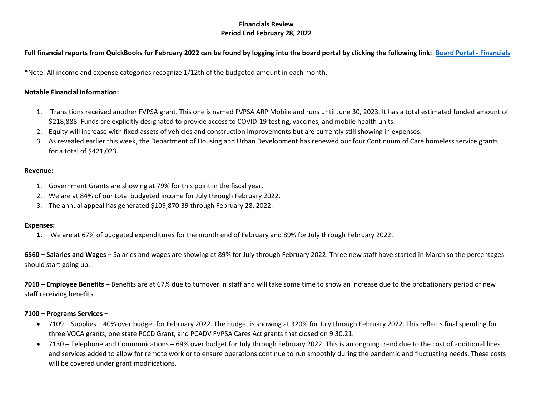# **Financials Review Period End February 28, 2022**

## **Full financial reports from QuickBooks for February 2022 can be found by logging into the board portal by clicking the following link: [Board Portal -](https://www.transitionsofpa.org/board-financial-information) Financials**

\*Note: All income and expense categories recognize 1/12th of the budgeted amount in each month.

### **Notable Financial Information:**

- 1. Transitions received another FVPSA grant. This one is named FVPSA ARP Mobile and runs until June 30, 2023. It has a total estimated funded amount of \$218,888. Funds are explicitly designated to provide access to COVID-19 testing, vaccines, and mobile health units.
- 2. Equity will increase with fixed assets of vehicles and construction improvements but are currently still showing in expenses.
- 3. As revealed earlier this week, the Department of Housing and Urban Development has renewed our four Continuum of Care homeless service grants for a total of \$421,023.

#### **Revenue:**

- 1. Government Grants are showing at 79% for this point in the fiscal year.
- 2. We are at 84% of our total budgeted income for July through February 2022.
- 3. The annual appeal has generated \$109,870.39 through February 28, 2022.

#### **Expenses:**

**1.** We are at 67% of budgeted expenditures for the month end of February and 89% for July through February 2022.

**6560 – Salaries and Wages** – Salaries and wages are showing at 89% for July through February 2022. Three new staff have started in March so the percentages should start going up.

**7010 – Employee Benefits** – Benefits are at 67% due to turnover in staff and will take some time to show an increase due to the probationary period of new staff receiving benefits.

## **7100 – Programs Services –**

- 7109 Supplies 40% over budget for February 2022. The budget is showing at 320% for July through February 2022. This reflects final spending for three VOCA grants, one state PCCD Grant, and PCADV FVPSA Cares Act grants that closed on 9.30.21.
- 7130 Telephone and Communications 69% over budget for July through February 2022. This is an ongoing trend due to the cost of additional lines and services added to allow for remote work or to ensure operations continue to run smoothly during the pandemic and fluctuating needs. These costs will be covered under grant modifications.